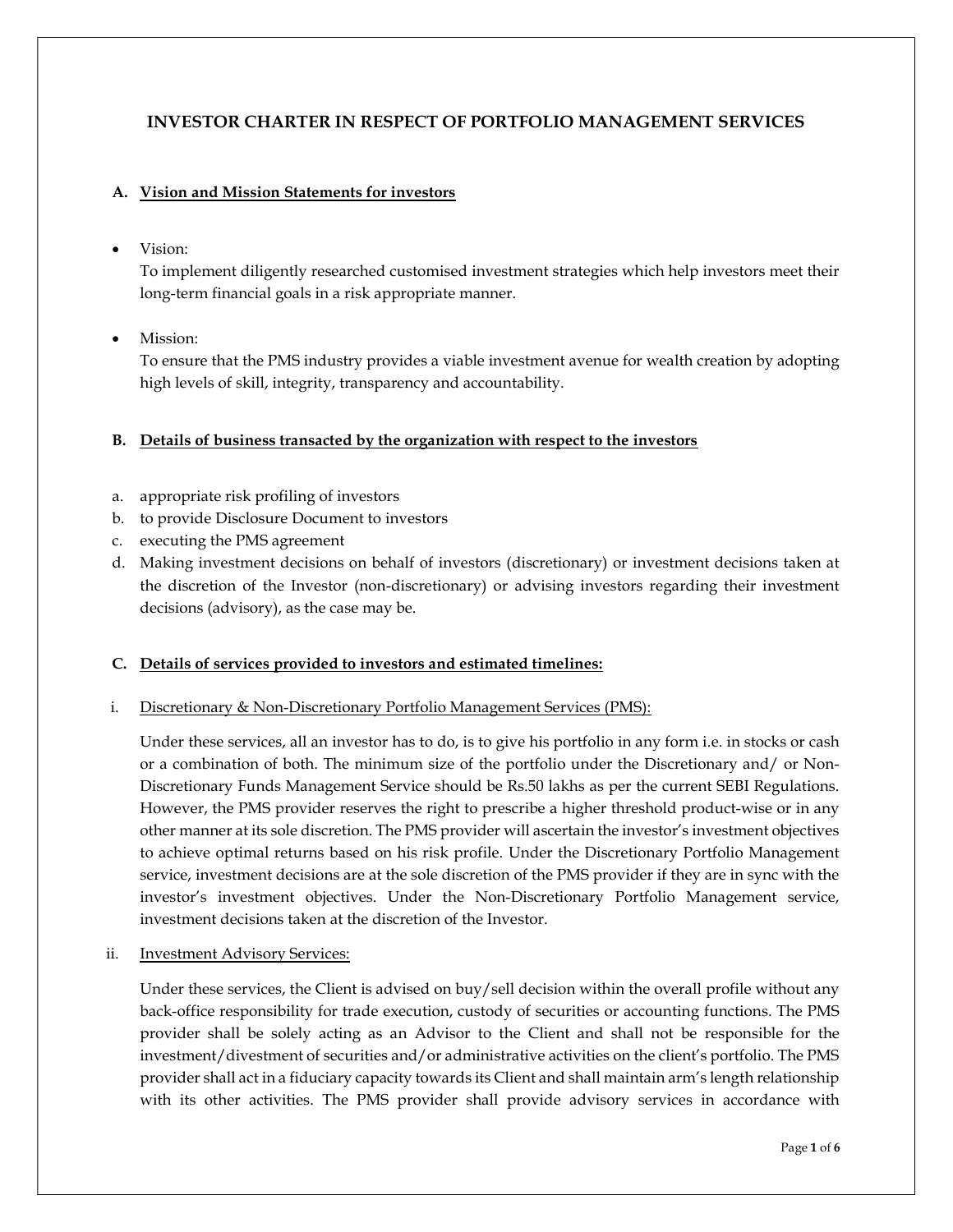# INVESTOR CHARTER IN RESPECT OF PORTFOLIO MANAGEMENT SERVICES

# A. Vision and Mission Statements for investors

Vision:

To implement diligently researched customised investment strategies which help investors meet their long-term financial goals in a risk appropriate manner.

Mission:

To ensure that the PMS industry provides a viable investment avenue for wealth creation by adopting high levels of skill, integrity, transparency and accountability.

# B. Details of business transacted by the organization with respect to the investors

- a. appropriate risk profiling of investors
- b. to provide Disclosure Document to investors
- c. executing the PMS agreement
- d. Making investment decisions on behalf of investors (discretionary) or investment decisions taken at the discretion of the Investor (non-discretionary) or advising investors regarding their investment decisions (advisory), as the case may be.

## C. Details of services provided to investors and estimated timelines:

## i. Discretionary & Non-Discretionary Portfolio Management Services (PMS):

Under these services, all an investor has to do, is to give his portfolio in any form i.e. in stocks or cash or a combination of both. The minimum size of the portfolio under the Discretionary and/ or Non-Discretionary Funds Management Service should be Rs.50 lakhs as per the current SEBI Regulations. However, the PMS provider reserves the right to prescribe a higher threshold product-wise or in any other manner at its sole discretion. The PMS provider will ascertain the investor's investment objectives to achieve optimal returns based on his risk profile. Under the Discretionary Portfolio Management service, investment decisions are at the sole discretion of the PMS provider if they are in sync with the investor's investment objectives. Under the Non-Discretionary Portfolio Management service, investment decisions taken at the discretion of the Investor.

ii. Investment Advisory Services:

Under these services, the Client is advised on buy/sell decision within the overall profile without any back-office responsibility for trade execution, custody of securities or accounting functions. The PMS provider shall be solely acting as an Advisor to the Client and shall not be responsible for the investment/divestment of securities and/or administrative activities on the client's portfolio. The PMS provider shall act in a fiduciary capacity towards its Client and shall maintain arm's length relationship with its other activities. The PMS provider shall provide advisory services in accordance with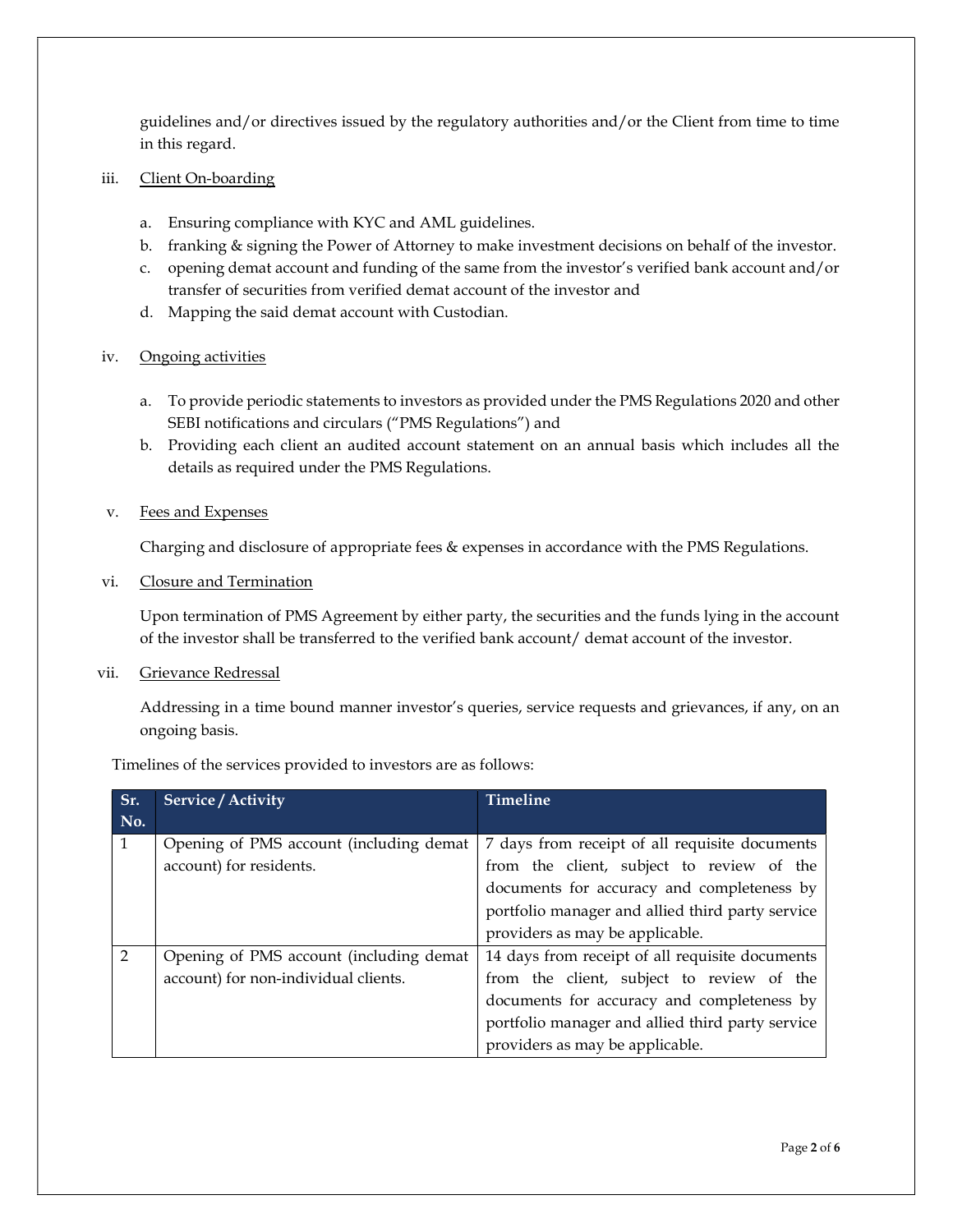guidelines and/or directives issued by the regulatory authorities and/or the Client from time to time in this regard.

## iii. Client On-boarding

- a. Ensuring compliance with KYC and AML guidelines.
- b. franking & signing the Power of Attorney to make investment decisions on behalf of the investor.
- c. opening demat account and funding of the same from the investor's verified bank account and/or transfer of securities from verified demat account of the investor and
- d. Mapping the said demat account with Custodian.

# iv. Ongoing activities

- a. To provide periodic statements to investors as provided under the PMS Regulations 2020 and other SEBI notifications and circulars ("PMS Regulations") and
- b. Providing each client an audited account statement on an annual basis which includes all the details as required under the PMS Regulations.

# v. Fees and Expenses

Charging and disclosure of appropriate fees & expenses in accordance with the PMS Regulations.

vi. Closure and Termination

Upon termination of PMS Agreement by either party, the securities and the funds lying in the account of the investor shall be transferred to the verified bank account/ demat account of the investor.

# vii. Grievance Redressal

Addressing in a time bound manner investor's queries, service requests and grievances, if any, on an ongoing basis.

Timelines of the services provided to investors are as follows:

| Sr.            | <b>Service / Activity</b>               | <b>Timeline</b>                                  |
|----------------|-----------------------------------------|--------------------------------------------------|
| No.            |                                         |                                                  |
| $\mathbf{1}$   | Opening of PMS account (including demat | 7 days from receipt of all requisite documents   |
|                | account) for residents.                 | from the client, subject to review of the        |
|                |                                         | documents for accuracy and completeness by       |
|                |                                         | portfolio manager and allied third party service |
|                |                                         | providers as may be applicable.                  |
| $\overline{2}$ | Opening of PMS account (including demat | 14 days from receipt of all requisite documents  |
|                | account) for non-individual clients.    | from the client, subject to review of the        |
|                |                                         | documents for accuracy and completeness by       |
|                |                                         | portfolio manager and allied third party service |
|                |                                         | providers as may be applicable.                  |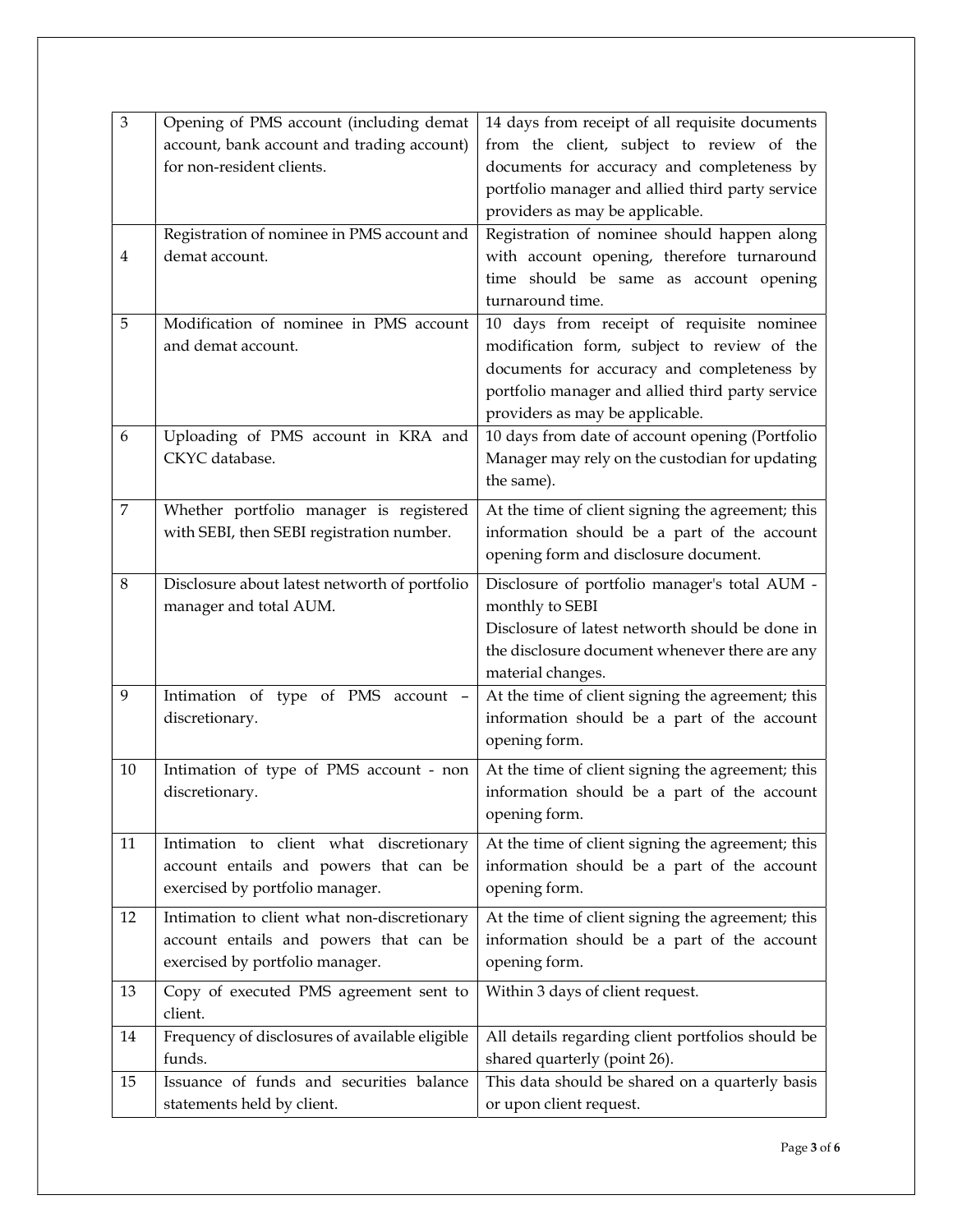| from the client, subject to review of the<br>account, bank account and trading account)<br>for non-resident clients.<br>documents for accuracy and completeness by<br>portfolio manager and allied third party service<br>providers as may be applicable.<br>Registration of nominee in PMS account and<br>Registration of nominee should happen along<br>with account opening, therefore turnaround<br>demat account.<br>4<br>time should be same as account opening<br>turnaround time.<br>Modification of nominee in PMS account<br>5<br>10 days from receipt of requisite nominee<br>modification form, subject to review of the<br>and demat account.<br>documents for accuracy and completeness by<br>portfolio manager and allied third party service<br>providers as may be applicable.<br>10 days from date of account opening (Portfolio<br>Uploading of PMS account in KRA and<br>6<br>CKYC database.<br>Manager may rely on the custodian for updating<br>the same).<br>$\overline{7}$<br>Whether portfolio manager is registered<br>At the time of client signing the agreement; this<br>with SEBI, then SEBI registration number.<br>information should be a part of the account<br>opening form and disclosure document.<br>$\,8\,$<br>Disclosure about latest networth of portfolio<br>Disclosure of portfolio manager's total AUM -<br>monthly to SEBI<br>manager and total AUM.<br>Disclosure of latest networth should be done in<br>the disclosure document whenever there are any<br>material changes.<br>Intimation of type of PMS account -<br>At the time of client signing the agreement; this<br>9<br>discretionary.<br>information should be a part of the account<br>opening form.<br>Intimation of type of PMS account - non<br>At the time of client signing the agreement; this<br>10<br>information should be a part of the account<br>discretionary.<br>opening form.<br>At the time of client signing the agreement; this<br>11<br>Intimation to client what discretionary<br>account entails and powers that can be<br>information should be a part of the account<br>exercised by portfolio manager.<br>opening form.<br>At the time of client signing the agreement; this<br>12<br>Intimation to client what non-discretionary<br>information should be a part of the account<br>account entails and powers that can be<br>exercised by portfolio manager.<br>opening form.<br>Copy of executed PMS agreement sent to<br>Within 3 days of client request.<br>13<br>client.<br>Frequency of disclosures of available eligible<br>All details regarding client portfolios should be<br>14<br>funds.<br>shared quarterly (point 26).<br>Issuance of funds and securities balance<br>This data should be shared on a quarterly basis<br>15<br>statements held by client.<br>or upon client request. | $\ensuremath{\mathfrak{Z}}$ | Opening of PMS account (including demat | 14 days from receipt of all requisite documents |
|--------------------------------------------------------------------------------------------------------------------------------------------------------------------------------------------------------------------------------------------------------------------------------------------------------------------------------------------------------------------------------------------------------------------------------------------------------------------------------------------------------------------------------------------------------------------------------------------------------------------------------------------------------------------------------------------------------------------------------------------------------------------------------------------------------------------------------------------------------------------------------------------------------------------------------------------------------------------------------------------------------------------------------------------------------------------------------------------------------------------------------------------------------------------------------------------------------------------------------------------------------------------------------------------------------------------------------------------------------------------------------------------------------------------------------------------------------------------------------------------------------------------------------------------------------------------------------------------------------------------------------------------------------------------------------------------------------------------------------------------------------------------------------------------------------------------------------------------------------------------------------------------------------------------------------------------------------------------------------------------------------------------------------------------------------------------------------------------------------------------------------------------------------------------------------------------------------------------------------------------------------------------------------------------------------------------------------------------------------------------------------------------------------------------------------------------------------------------------------------------------------------------------------------------------------------------------------------------------------------------------------------------------------------------------------------------------------------------------------------------------------------------------------------------------------------------------------------|-----------------------------|-----------------------------------------|-------------------------------------------------|
|                                                                                                                                                                                                                                                                                                                                                                                                                                                                                                                                                                                                                                                                                                                                                                                                                                                                                                                                                                                                                                                                                                                                                                                                                                                                                                                                                                                                                                                                                                                                                                                                                                                                                                                                                                                                                                                                                                                                                                                                                                                                                                                                                                                                                                                                                                                                                                                                                                                                                                                                                                                                                                                                                                                                                                                                                                      |                             |                                         |                                                 |
|                                                                                                                                                                                                                                                                                                                                                                                                                                                                                                                                                                                                                                                                                                                                                                                                                                                                                                                                                                                                                                                                                                                                                                                                                                                                                                                                                                                                                                                                                                                                                                                                                                                                                                                                                                                                                                                                                                                                                                                                                                                                                                                                                                                                                                                                                                                                                                                                                                                                                                                                                                                                                                                                                                                                                                                                                                      |                             |                                         |                                                 |
|                                                                                                                                                                                                                                                                                                                                                                                                                                                                                                                                                                                                                                                                                                                                                                                                                                                                                                                                                                                                                                                                                                                                                                                                                                                                                                                                                                                                                                                                                                                                                                                                                                                                                                                                                                                                                                                                                                                                                                                                                                                                                                                                                                                                                                                                                                                                                                                                                                                                                                                                                                                                                                                                                                                                                                                                                                      |                             |                                         |                                                 |
|                                                                                                                                                                                                                                                                                                                                                                                                                                                                                                                                                                                                                                                                                                                                                                                                                                                                                                                                                                                                                                                                                                                                                                                                                                                                                                                                                                                                                                                                                                                                                                                                                                                                                                                                                                                                                                                                                                                                                                                                                                                                                                                                                                                                                                                                                                                                                                                                                                                                                                                                                                                                                                                                                                                                                                                                                                      |                             |                                         |                                                 |
|                                                                                                                                                                                                                                                                                                                                                                                                                                                                                                                                                                                                                                                                                                                                                                                                                                                                                                                                                                                                                                                                                                                                                                                                                                                                                                                                                                                                                                                                                                                                                                                                                                                                                                                                                                                                                                                                                                                                                                                                                                                                                                                                                                                                                                                                                                                                                                                                                                                                                                                                                                                                                                                                                                                                                                                                                                      |                             |                                         |                                                 |
|                                                                                                                                                                                                                                                                                                                                                                                                                                                                                                                                                                                                                                                                                                                                                                                                                                                                                                                                                                                                                                                                                                                                                                                                                                                                                                                                                                                                                                                                                                                                                                                                                                                                                                                                                                                                                                                                                                                                                                                                                                                                                                                                                                                                                                                                                                                                                                                                                                                                                                                                                                                                                                                                                                                                                                                                                                      |                             |                                         |                                                 |
|                                                                                                                                                                                                                                                                                                                                                                                                                                                                                                                                                                                                                                                                                                                                                                                                                                                                                                                                                                                                                                                                                                                                                                                                                                                                                                                                                                                                                                                                                                                                                                                                                                                                                                                                                                                                                                                                                                                                                                                                                                                                                                                                                                                                                                                                                                                                                                                                                                                                                                                                                                                                                                                                                                                                                                                                                                      |                             |                                         |                                                 |
|                                                                                                                                                                                                                                                                                                                                                                                                                                                                                                                                                                                                                                                                                                                                                                                                                                                                                                                                                                                                                                                                                                                                                                                                                                                                                                                                                                                                                                                                                                                                                                                                                                                                                                                                                                                                                                                                                                                                                                                                                                                                                                                                                                                                                                                                                                                                                                                                                                                                                                                                                                                                                                                                                                                                                                                                                                      |                             |                                         |                                                 |
|                                                                                                                                                                                                                                                                                                                                                                                                                                                                                                                                                                                                                                                                                                                                                                                                                                                                                                                                                                                                                                                                                                                                                                                                                                                                                                                                                                                                                                                                                                                                                                                                                                                                                                                                                                                                                                                                                                                                                                                                                                                                                                                                                                                                                                                                                                                                                                                                                                                                                                                                                                                                                                                                                                                                                                                                                                      |                             |                                         |                                                 |
|                                                                                                                                                                                                                                                                                                                                                                                                                                                                                                                                                                                                                                                                                                                                                                                                                                                                                                                                                                                                                                                                                                                                                                                                                                                                                                                                                                                                                                                                                                                                                                                                                                                                                                                                                                                                                                                                                                                                                                                                                                                                                                                                                                                                                                                                                                                                                                                                                                                                                                                                                                                                                                                                                                                                                                                                                                      |                             |                                         |                                                 |
|                                                                                                                                                                                                                                                                                                                                                                                                                                                                                                                                                                                                                                                                                                                                                                                                                                                                                                                                                                                                                                                                                                                                                                                                                                                                                                                                                                                                                                                                                                                                                                                                                                                                                                                                                                                                                                                                                                                                                                                                                                                                                                                                                                                                                                                                                                                                                                                                                                                                                                                                                                                                                                                                                                                                                                                                                                      |                             |                                         |                                                 |
|                                                                                                                                                                                                                                                                                                                                                                                                                                                                                                                                                                                                                                                                                                                                                                                                                                                                                                                                                                                                                                                                                                                                                                                                                                                                                                                                                                                                                                                                                                                                                                                                                                                                                                                                                                                                                                                                                                                                                                                                                                                                                                                                                                                                                                                                                                                                                                                                                                                                                                                                                                                                                                                                                                                                                                                                                                      |                             |                                         |                                                 |
|                                                                                                                                                                                                                                                                                                                                                                                                                                                                                                                                                                                                                                                                                                                                                                                                                                                                                                                                                                                                                                                                                                                                                                                                                                                                                                                                                                                                                                                                                                                                                                                                                                                                                                                                                                                                                                                                                                                                                                                                                                                                                                                                                                                                                                                                                                                                                                                                                                                                                                                                                                                                                                                                                                                                                                                                                                      |                             |                                         |                                                 |
|                                                                                                                                                                                                                                                                                                                                                                                                                                                                                                                                                                                                                                                                                                                                                                                                                                                                                                                                                                                                                                                                                                                                                                                                                                                                                                                                                                                                                                                                                                                                                                                                                                                                                                                                                                                                                                                                                                                                                                                                                                                                                                                                                                                                                                                                                                                                                                                                                                                                                                                                                                                                                                                                                                                                                                                                                                      |                             |                                         |                                                 |
|                                                                                                                                                                                                                                                                                                                                                                                                                                                                                                                                                                                                                                                                                                                                                                                                                                                                                                                                                                                                                                                                                                                                                                                                                                                                                                                                                                                                                                                                                                                                                                                                                                                                                                                                                                                                                                                                                                                                                                                                                                                                                                                                                                                                                                                                                                                                                                                                                                                                                                                                                                                                                                                                                                                                                                                                                                      |                             |                                         |                                                 |
|                                                                                                                                                                                                                                                                                                                                                                                                                                                                                                                                                                                                                                                                                                                                                                                                                                                                                                                                                                                                                                                                                                                                                                                                                                                                                                                                                                                                                                                                                                                                                                                                                                                                                                                                                                                                                                                                                                                                                                                                                                                                                                                                                                                                                                                                                                                                                                                                                                                                                                                                                                                                                                                                                                                                                                                                                                      |                             |                                         |                                                 |
|                                                                                                                                                                                                                                                                                                                                                                                                                                                                                                                                                                                                                                                                                                                                                                                                                                                                                                                                                                                                                                                                                                                                                                                                                                                                                                                                                                                                                                                                                                                                                                                                                                                                                                                                                                                                                                                                                                                                                                                                                                                                                                                                                                                                                                                                                                                                                                                                                                                                                                                                                                                                                                                                                                                                                                                                                                      |                             |                                         |                                                 |
|                                                                                                                                                                                                                                                                                                                                                                                                                                                                                                                                                                                                                                                                                                                                                                                                                                                                                                                                                                                                                                                                                                                                                                                                                                                                                                                                                                                                                                                                                                                                                                                                                                                                                                                                                                                                                                                                                                                                                                                                                                                                                                                                                                                                                                                                                                                                                                                                                                                                                                                                                                                                                                                                                                                                                                                                                                      |                             |                                         |                                                 |
|                                                                                                                                                                                                                                                                                                                                                                                                                                                                                                                                                                                                                                                                                                                                                                                                                                                                                                                                                                                                                                                                                                                                                                                                                                                                                                                                                                                                                                                                                                                                                                                                                                                                                                                                                                                                                                                                                                                                                                                                                                                                                                                                                                                                                                                                                                                                                                                                                                                                                                                                                                                                                                                                                                                                                                                                                                      |                             |                                         |                                                 |
|                                                                                                                                                                                                                                                                                                                                                                                                                                                                                                                                                                                                                                                                                                                                                                                                                                                                                                                                                                                                                                                                                                                                                                                                                                                                                                                                                                                                                                                                                                                                                                                                                                                                                                                                                                                                                                                                                                                                                                                                                                                                                                                                                                                                                                                                                                                                                                                                                                                                                                                                                                                                                                                                                                                                                                                                                                      |                             |                                         |                                                 |
|                                                                                                                                                                                                                                                                                                                                                                                                                                                                                                                                                                                                                                                                                                                                                                                                                                                                                                                                                                                                                                                                                                                                                                                                                                                                                                                                                                                                                                                                                                                                                                                                                                                                                                                                                                                                                                                                                                                                                                                                                                                                                                                                                                                                                                                                                                                                                                                                                                                                                                                                                                                                                                                                                                                                                                                                                                      |                             |                                         |                                                 |
|                                                                                                                                                                                                                                                                                                                                                                                                                                                                                                                                                                                                                                                                                                                                                                                                                                                                                                                                                                                                                                                                                                                                                                                                                                                                                                                                                                                                                                                                                                                                                                                                                                                                                                                                                                                                                                                                                                                                                                                                                                                                                                                                                                                                                                                                                                                                                                                                                                                                                                                                                                                                                                                                                                                                                                                                                                      |                             |                                         |                                                 |
|                                                                                                                                                                                                                                                                                                                                                                                                                                                                                                                                                                                                                                                                                                                                                                                                                                                                                                                                                                                                                                                                                                                                                                                                                                                                                                                                                                                                                                                                                                                                                                                                                                                                                                                                                                                                                                                                                                                                                                                                                                                                                                                                                                                                                                                                                                                                                                                                                                                                                                                                                                                                                                                                                                                                                                                                                                      |                             |                                         |                                                 |
|                                                                                                                                                                                                                                                                                                                                                                                                                                                                                                                                                                                                                                                                                                                                                                                                                                                                                                                                                                                                                                                                                                                                                                                                                                                                                                                                                                                                                                                                                                                                                                                                                                                                                                                                                                                                                                                                                                                                                                                                                                                                                                                                                                                                                                                                                                                                                                                                                                                                                                                                                                                                                                                                                                                                                                                                                                      |                             |                                         |                                                 |
|                                                                                                                                                                                                                                                                                                                                                                                                                                                                                                                                                                                                                                                                                                                                                                                                                                                                                                                                                                                                                                                                                                                                                                                                                                                                                                                                                                                                                                                                                                                                                                                                                                                                                                                                                                                                                                                                                                                                                                                                                                                                                                                                                                                                                                                                                                                                                                                                                                                                                                                                                                                                                                                                                                                                                                                                                                      |                             |                                         |                                                 |
|                                                                                                                                                                                                                                                                                                                                                                                                                                                                                                                                                                                                                                                                                                                                                                                                                                                                                                                                                                                                                                                                                                                                                                                                                                                                                                                                                                                                                                                                                                                                                                                                                                                                                                                                                                                                                                                                                                                                                                                                                                                                                                                                                                                                                                                                                                                                                                                                                                                                                                                                                                                                                                                                                                                                                                                                                                      |                             |                                         |                                                 |
|                                                                                                                                                                                                                                                                                                                                                                                                                                                                                                                                                                                                                                                                                                                                                                                                                                                                                                                                                                                                                                                                                                                                                                                                                                                                                                                                                                                                                                                                                                                                                                                                                                                                                                                                                                                                                                                                                                                                                                                                                                                                                                                                                                                                                                                                                                                                                                                                                                                                                                                                                                                                                                                                                                                                                                                                                                      |                             |                                         |                                                 |
|                                                                                                                                                                                                                                                                                                                                                                                                                                                                                                                                                                                                                                                                                                                                                                                                                                                                                                                                                                                                                                                                                                                                                                                                                                                                                                                                                                                                                                                                                                                                                                                                                                                                                                                                                                                                                                                                                                                                                                                                                                                                                                                                                                                                                                                                                                                                                                                                                                                                                                                                                                                                                                                                                                                                                                                                                                      |                             |                                         |                                                 |
|                                                                                                                                                                                                                                                                                                                                                                                                                                                                                                                                                                                                                                                                                                                                                                                                                                                                                                                                                                                                                                                                                                                                                                                                                                                                                                                                                                                                                                                                                                                                                                                                                                                                                                                                                                                                                                                                                                                                                                                                                                                                                                                                                                                                                                                                                                                                                                                                                                                                                                                                                                                                                                                                                                                                                                                                                                      |                             |                                         |                                                 |
|                                                                                                                                                                                                                                                                                                                                                                                                                                                                                                                                                                                                                                                                                                                                                                                                                                                                                                                                                                                                                                                                                                                                                                                                                                                                                                                                                                                                                                                                                                                                                                                                                                                                                                                                                                                                                                                                                                                                                                                                                                                                                                                                                                                                                                                                                                                                                                                                                                                                                                                                                                                                                                                                                                                                                                                                                                      |                             |                                         |                                                 |
|                                                                                                                                                                                                                                                                                                                                                                                                                                                                                                                                                                                                                                                                                                                                                                                                                                                                                                                                                                                                                                                                                                                                                                                                                                                                                                                                                                                                                                                                                                                                                                                                                                                                                                                                                                                                                                                                                                                                                                                                                                                                                                                                                                                                                                                                                                                                                                                                                                                                                                                                                                                                                                                                                                                                                                                                                                      |                             |                                         |                                                 |
|                                                                                                                                                                                                                                                                                                                                                                                                                                                                                                                                                                                                                                                                                                                                                                                                                                                                                                                                                                                                                                                                                                                                                                                                                                                                                                                                                                                                                                                                                                                                                                                                                                                                                                                                                                                                                                                                                                                                                                                                                                                                                                                                                                                                                                                                                                                                                                                                                                                                                                                                                                                                                                                                                                                                                                                                                                      |                             |                                         |                                                 |
|                                                                                                                                                                                                                                                                                                                                                                                                                                                                                                                                                                                                                                                                                                                                                                                                                                                                                                                                                                                                                                                                                                                                                                                                                                                                                                                                                                                                                                                                                                                                                                                                                                                                                                                                                                                                                                                                                                                                                                                                                                                                                                                                                                                                                                                                                                                                                                                                                                                                                                                                                                                                                                                                                                                                                                                                                                      |                             |                                         |                                                 |
|                                                                                                                                                                                                                                                                                                                                                                                                                                                                                                                                                                                                                                                                                                                                                                                                                                                                                                                                                                                                                                                                                                                                                                                                                                                                                                                                                                                                                                                                                                                                                                                                                                                                                                                                                                                                                                                                                                                                                                                                                                                                                                                                                                                                                                                                                                                                                                                                                                                                                                                                                                                                                                                                                                                                                                                                                                      |                             |                                         |                                                 |
|                                                                                                                                                                                                                                                                                                                                                                                                                                                                                                                                                                                                                                                                                                                                                                                                                                                                                                                                                                                                                                                                                                                                                                                                                                                                                                                                                                                                                                                                                                                                                                                                                                                                                                                                                                                                                                                                                                                                                                                                                                                                                                                                                                                                                                                                                                                                                                                                                                                                                                                                                                                                                                                                                                                                                                                                                                      |                             |                                         |                                                 |
|                                                                                                                                                                                                                                                                                                                                                                                                                                                                                                                                                                                                                                                                                                                                                                                                                                                                                                                                                                                                                                                                                                                                                                                                                                                                                                                                                                                                                                                                                                                                                                                                                                                                                                                                                                                                                                                                                                                                                                                                                                                                                                                                                                                                                                                                                                                                                                                                                                                                                                                                                                                                                                                                                                                                                                                                                                      |                             |                                         |                                                 |
|                                                                                                                                                                                                                                                                                                                                                                                                                                                                                                                                                                                                                                                                                                                                                                                                                                                                                                                                                                                                                                                                                                                                                                                                                                                                                                                                                                                                                                                                                                                                                                                                                                                                                                                                                                                                                                                                                                                                                                                                                                                                                                                                                                                                                                                                                                                                                                                                                                                                                                                                                                                                                                                                                                                                                                                                                                      |                             |                                         |                                                 |
|                                                                                                                                                                                                                                                                                                                                                                                                                                                                                                                                                                                                                                                                                                                                                                                                                                                                                                                                                                                                                                                                                                                                                                                                                                                                                                                                                                                                                                                                                                                                                                                                                                                                                                                                                                                                                                                                                                                                                                                                                                                                                                                                                                                                                                                                                                                                                                                                                                                                                                                                                                                                                                                                                                                                                                                                                                      |                             |                                         |                                                 |
|                                                                                                                                                                                                                                                                                                                                                                                                                                                                                                                                                                                                                                                                                                                                                                                                                                                                                                                                                                                                                                                                                                                                                                                                                                                                                                                                                                                                                                                                                                                                                                                                                                                                                                                                                                                                                                                                                                                                                                                                                                                                                                                                                                                                                                                                                                                                                                                                                                                                                                                                                                                                                                                                                                                                                                                                                                      |                             |                                         |                                                 |
|                                                                                                                                                                                                                                                                                                                                                                                                                                                                                                                                                                                                                                                                                                                                                                                                                                                                                                                                                                                                                                                                                                                                                                                                                                                                                                                                                                                                                                                                                                                                                                                                                                                                                                                                                                                                                                                                                                                                                                                                                                                                                                                                                                                                                                                                                                                                                                                                                                                                                                                                                                                                                                                                                                                                                                                                                                      |                             |                                         |                                                 |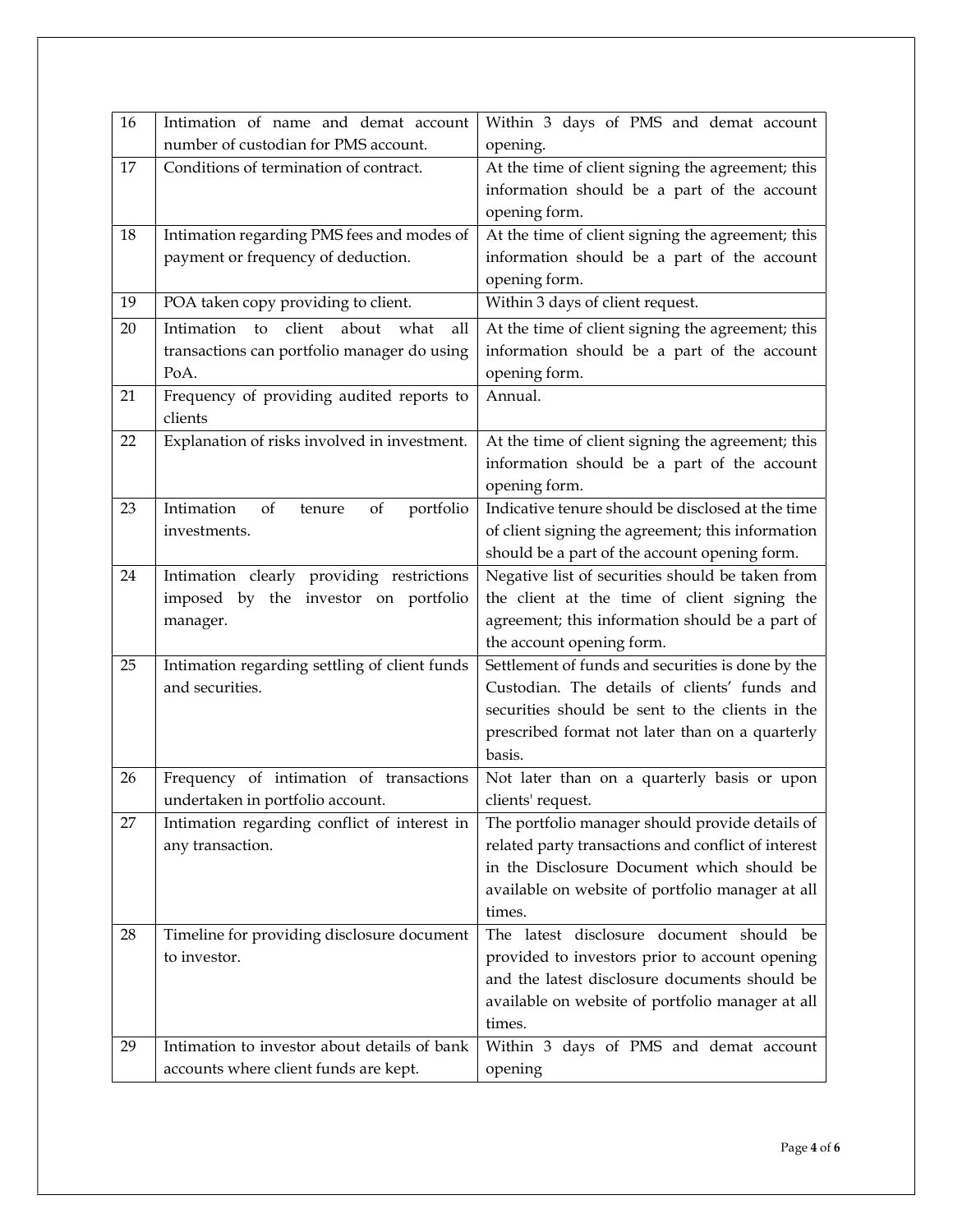| 16 | Intimation of name and demat account<br>number of custodian for PMS account.                                         | Within 3 days of PMS and demat account<br>opening.                                                                                                                                                                 |
|----|----------------------------------------------------------------------------------------------------------------------|--------------------------------------------------------------------------------------------------------------------------------------------------------------------------------------------------------------------|
| 17 | Conditions of termination of contract.                                                                               | At the time of client signing the agreement; this<br>information should be a part of the account<br>opening form.                                                                                                  |
| 18 | Intimation regarding PMS fees and modes of<br>payment or frequency of deduction.                                     | At the time of client signing the agreement; this<br>information should be a part of the account<br>opening form.                                                                                                  |
| 19 | POA taken copy providing to client.                                                                                  | Within 3 days of client request.                                                                                                                                                                                   |
| 20 | client<br>Intimation<br>$\mathsf{to}$<br>about<br>all<br>what<br>transactions can portfolio manager do using<br>PoA. | At the time of client signing the agreement; this<br>information should be a part of the account<br>opening form.                                                                                                  |
| 21 | Frequency of providing audited reports to<br>clients                                                                 | Annual.                                                                                                                                                                                                            |
| 22 | Explanation of risks involved in investment.                                                                         | At the time of client signing the agreement; this<br>information should be a part of the account<br>opening form.                                                                                                  |
| 23 | Intimation<br>of<br>portfolio<br>of<br>tenure<br>investments.                                                        | Indicative tenure should be disclosed at the time<br>of client signing the agreement; this information<br>should be a part of the account opening form.                                                            |
| 24 | Intimation clearly providing restrictions<br>imposed by the investor on portfolio<br>manager.                        | Negative list of securities should be taken from<br>the client at the time of client signing the<br>agreement; this information should be a part of<br>the account opening form.                                   |
| 25 | Intimation regarding settling of client funds<br>and securities.                                                     | Settlement of funds and securities is done by the<br>Custodian. The details of clients' funds and<br>securities should be sent to the clients in the<br>prescribed format not later than on a quarterly<br>basis.  |
| 26 | Frequency of intimation of transactions<br>undertaken in portfolio account.                                          | Not later than on a quarterly basis or upon<br>clients' request.                                                                                                                                                   |
| 27 | Intimation regarding conflict of interest in<br>any transaction.                                                     | The portfolio manager should provide details of<br>related party transactions and conflict of interest<br>in the Disclosure Document which should be<br>available on website of portfolio manager at all<br>times. |
| 28 | Timeline for providing disclosure document<br>to investor.                                                           | The latest disclosure document should be<br>provided to investors prior to account opening<br>and the latest disclosure documents should be<br>available on website of portfolio manager at all<br>times.          |
| 29 | Intimation to investor about details of bank<br>accounts where client funds are kept.                                | Within 3 days of PMS and demat account<br>opening                                                                                                                                                                  |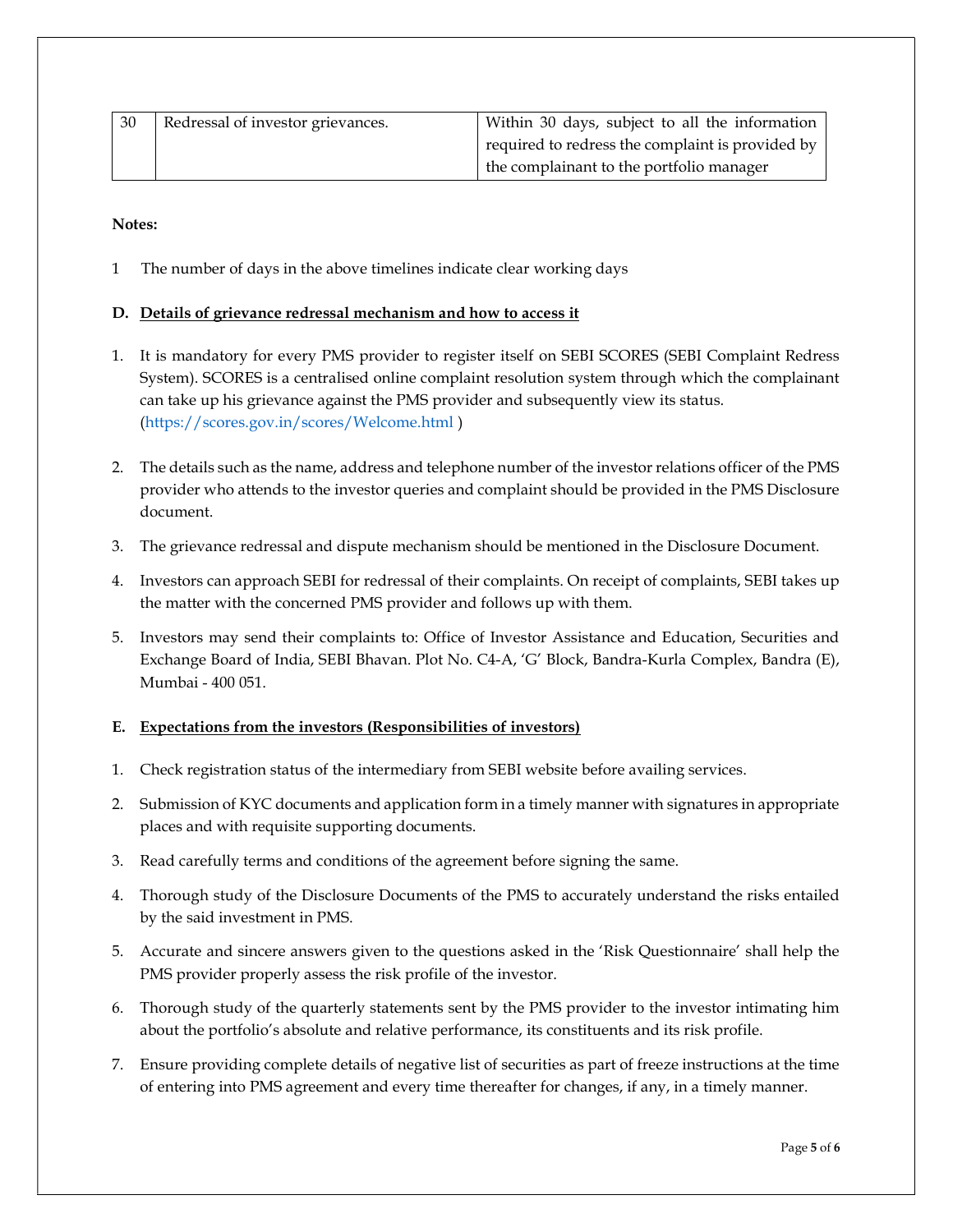| 30 | Redressal of investor grievances. | Within 30 days, subject to all the information   |
|----|-----------------------------------|--------------------------------------------------|
|    |                                   | required to redress the complaint is provided by |
|    |                                   | the complainant to the portfolio manager         |

Notes:

1 The number of days in the above timelines indicate clear working days

# D. Details of grievance redressal mechanism and how to access it

- 1. It is mandatory for every PMS provider to register itself on SEBI SCORES (SEBI Complaint Redress System). SCORES is a centralised online complaint resolution system through which the complainant can take up his grievance against the PMS provider and subsequently view its status. (https://scores.gov.in/scores/Welcome.html )
- 2. The details such as the name, address and telephone number of the investor relations officer of the PMS provider who attends to the investor queries and complaint should be provided in the PMS Disclosure document.
- 3. The grievance redressal and dispute mechanism should be mentioned in the Disclosure Document.
- 4. Investors can approach SEBI for redressal of their complaints. On receipt of complaints, SEBI takes up the matter with the concerned PMS provider and follows up with them.
- 5. Investors may send their complaints to: Office of Investor Assistance and Education, Securities and Exchange Board of India, SEBI Bhavan. Plot No. C4-A, 'G' Block, Bandra-Kurla Complex, Bandra (E), Mumbai - 400 051.

## E. Expectations from the investors (Responsibilities of investors)

- 1. Check registration status of the intermediary from SEBI website before availing services.
- 2. Submission of KYC documents and application form in a timely manner with signatures in appropriate places and with requisite supporting documents.
- 3. Read carefully terms and conditions of the agreement before signing the same.
- 4. Thorough study of the Disclosure Documents of the PMS to accurately understand the risks entailed by the said investment in PMS.
- 5. Accurate and sincere answers given to the questions asked in the 'Risk Questionnaire' shall help the PMS provider properly assess the risk profile of the investor.
- 6. Thorough study of the quarterly statements sent by the PMS provider to the investor intimating him about the portfolio's absolute and relative performance, its constituents and its risk profile.
- 7. Ensure providing complete details of negative list of securities as part of freeze instructions at the time of entering into PMS agreement and every time thereafter for changes, if any, in a timely manner.